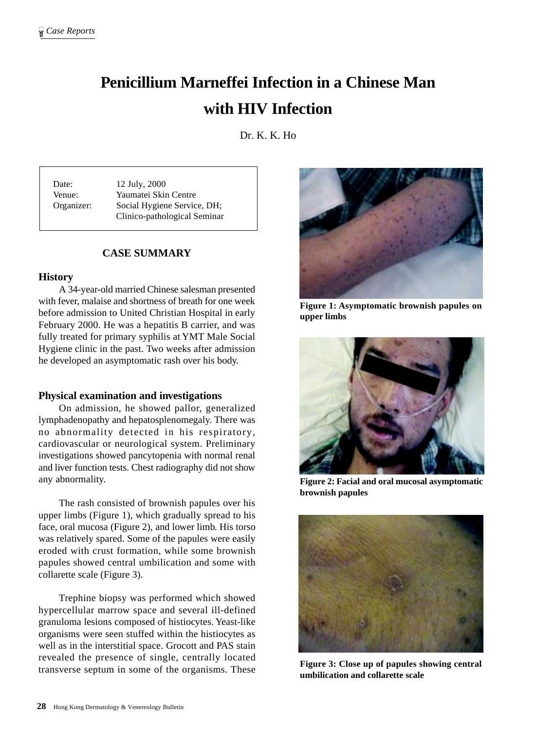# **Penicillium Marneffei Infection in a Chinese Man with HIV Infection**

Dr. K. K. Ho

Date: 12 July, 2000 Venue: Yaumatei Skin Centre Organizer: Social Hygiene Service, DH; Clinico-pathological Seminar

# **CASE SUMMARY**

#### **History**

A 34-year-old married Chinese salesman presented with fever, malaise and shortness of breath for one week before admission to United Christian Hospital in early February 2000. He was a hepatitis B carrier, and was fully treated for primary syphilis at YMT Male Social Hygiene clinic in the past. Two weeks after admission he developed an asymptomatic rash over his body.

#### **Physical examination and investigations**

On admission, he showed pallor, generalized lymphadenopathy and hepatosplenomegaly. There was no abnormality detected in his respiratory, cardiovascular or neurological system. Preliminary investigations showed pancytopenia with normal renal and liver function tests. Chest radiography did not show any abnormality.

The rash consisted of brownish papules over his upper limbs (Figure 1), which gradually spread to his face, oral mucosa (Figure 2), and lower limb. His torso was relatively spared. Some of the papules were easily eroded with crust formation, while some brownish papules showed central umbilication and some with collarette scale (Figure 3).

Trephine biopsy was performed which showed hypercellular marrow space and several ill-defined granuloma lesions composed of histiocytes. Yeast-like organisms were seen stuffed within the histiocytes as well as in the interstitial space. Grocott and PAS stain revealed the presence of single, centrally located transverse septum in some of the organisms. These



**Figure 1: Asymptomatic brownish papules on upper limbs**



**Figure 2: Facial and oral mucosal asymptomatic brownish papules**



**Figure 3: Close up of papules showing central umbilication and collarette scale**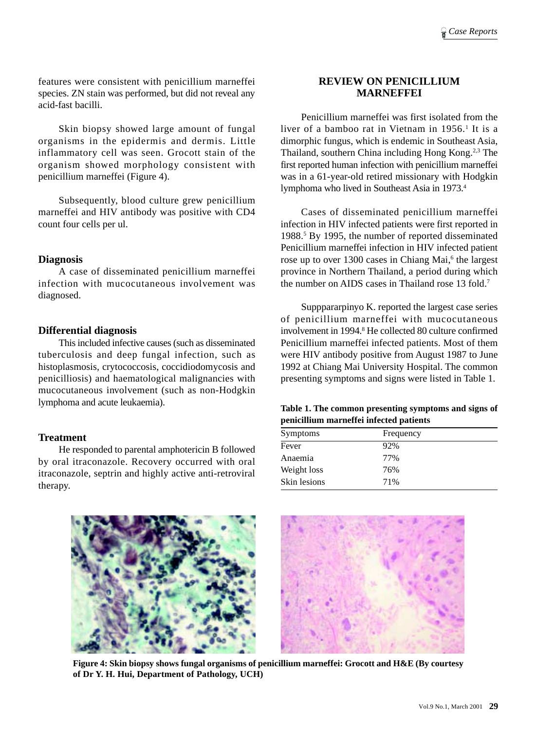features were consistent with penicillium marneffei species. ZN stain was performed, but did not reveal any acid-fast bacilli.

Skin biopsy showed large amount of fungal organisms in the epidermis and dermis. Little inflammatory cell was seen. Grocott stain of the organism showed morphology consistent with penicillium marneffei (Figure 4).

Subsequently, blood culture grew penicillium marneffei and HIV antibody was positive with CD4 count four cells per ul.

## **Diagnosis**

A case of disseminated penicillium marneffei infection with mucocutaneous involvement was diagnosed.

## **Differential diagnosis**

This included infective causes (such as disseminated tuberculosis and deep fungal infection, such as histoplasmosis, crytococcosis, coccidiodomycosis and penicilliosis) and haematological malignancies with mucocutaneous involvement (such as non-Hodgkin lymphoma and acute leukaemia).

## **Treatment**

He responded to parental amphotericin B followed by oral itraconazole. Recovery occurred with oral itraconazole, septrin and highly active anti-retroviral therapy.

## **REVIEW ON PENICILLIUM MARNEFFEI**

Penicillium marneffei was first isolated from the liver of a bamboo rat in Vietnam in 1956.<sup>1</sup> It is a dimorphic fungus, which is endemic in Southeast Asia, Thailand, southern China including Hong Kong.2,3 The first reported human infection with penicillium marneffei was in a 61-year-old retired missionary with Hodgkin lymphoma who lived in Southeast Asia in 1973.4

Cases of disseminated penicillium marneffei infection in HIV infected patients were first reported in 1988.5 By 1995, the number of reported disseminated Penicillium marneffei infection in HIV infected patient rose up to over 1300 cases in Chiang Mai,<sup>6</sup> the largest province in Northern Thailand, a period during which the number on AIDS cases in Thailand rose 13 fold.7

Supppararpinyo K. reported the largest case series of penicillium marneffei with mucocutaneous involvement in 1994.8 He collected 80 culture confirmed Penicillium marneffei infected patients. Most of them were HIV antibody positive from August 1987 to June 1992 at Chiang Mai University Hospital. The common presenting symptoms and signs were listed in Table 1.

**Table 1. The common presenting symptoms and signs of penicillium marneffei infected patients**

| <b>Symptoms</b> | Frequency |
|-----------------|-----------|
| Fever           | 92%       |
| Anaemia         | 77%       |
| Weight loss     | 76%       |
| Skin lesions    | 71%       |



**Figure 4: Skin biopsy shows fungal organisms of penicillium marneffei: Grocott and H&E (By courtesy of Dr Y. H. Hui, Department of Pathology, UCH)**